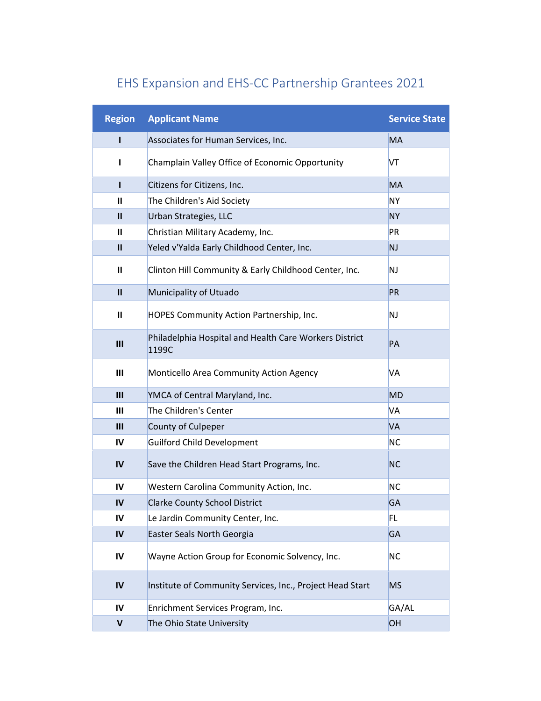| <b>Region</b>  | <b>Applicant Name</b>                                           | <b>Service State</b> |
|----------------|-----------------------------------------------------------------|----------------------|
| L              | Associates for Human Services, Inc.                             | <b>MA</b>            |
| L              | Champlain Valley Office of Economic Opportunity                 | VT                   |
| г              | Citizens for Citizens, Inc.                                     | <b>MA</b>            |
| Ш              | The Children's Aid Society                                      | <b>NY</b>            |
| $\mathbf{II}$  | Urban Strategies, LLC                                           | <b>NY</b>            |
| Ш              | Christian Military Academy, Inc.                                | PR                   |
| $\mathbf{II}$  | Yeled v'Yalda Early Childhood Center, Inc.                      | <b>NJ</b>            |
| Ш              | Clinton Hill Community & Early Childhood Center, Inc.           | NJ                   |
| $\mathbf{u}$   | Municipality of Utuado                                          | PR                   |
| Ш              | HOPES Community Action Partnership, Inc.                        | <b>NJ</b>            |
| $\mathbf{m}$   | Philadelphia Hospital and Health Care Workers District<br>1199C | PA                   |
| $\mathbf{III}$ | Monticello Area Community Action Agency                         | <b>VA</b>            |
| III            | YMCA of Central Maryland, Inc.                                  | <b>MD</b>            |
| $\mathbf{III}$ | The Children's Center                                           | VA                   |
| III            | County of Culpeper                                              | VA                   |
| IV             | <b>Guilford Child Development</b>                               | <b>NC</b>            |
| IV             | Save the Children Head Start Programs, Inc.                     | <b>NC</b>            |
| IV             | Western Carolina Community Action, Inc.                         | <b>NC</b>            |
| $\mathsf{IV}$  | <b>Clarke County School District</b>                            | GA                   |
| IV             | Le Jardin Community Center, Inc.                                | FL.                  |
| $\overline{N}$ | Easter Seals North Georgia                                      | GA                   |
| IV             | Wayne Action Group for Economic Solvency, Inc.                  | <b>NC</b>            |
| $\mathsf{IV}$  | Institute of Community Services, Inc., Project Head Start       | <b>MS</b>            |
| IV             | Enrichment Services Program, Inc.                               | GA/AL                |
| V              | The Ohio State University                                       | OH                   |

## EHS Expansion and EHS-CC Partnership Grantees 2021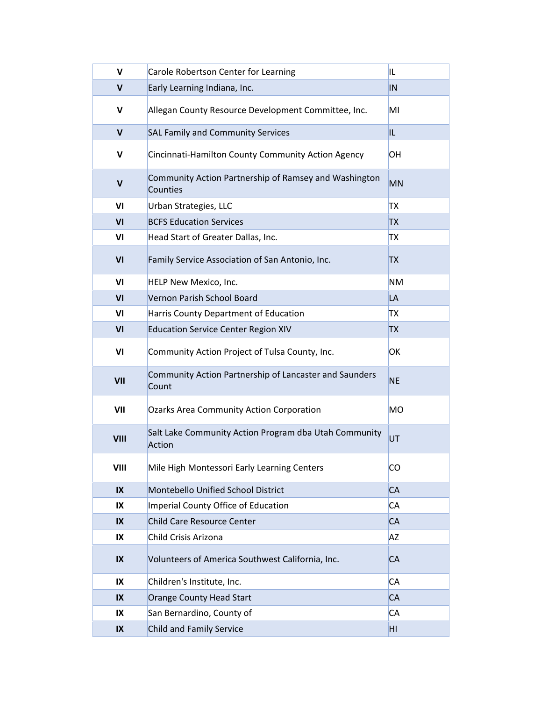| $\mathsf{v}$            | Carole Robertson Center for Learning                              | IL        |
|-------------------------|-------------------------------------------------------------------|-----------|
| V                       | Early Learning Indiana, Inc.                                      | IN        |
| V                       | Allegan County Resource Development Committee, Inc.               | MI        |
| $\mathbf v$             | <b>SAL Family and Community Services</b>                          | IL.       |
| V                       | Cincinnati-Hamilton County Community Action Agency                | ЮH        |
| V                       | Community Action Partnership of Ramsey and Washington<br>Counties | <b>MN</b> |
| VI                      | Urban Strategies, LLC                                             | <b>TX</b> |
| VI                      | <b>BCFS Education Services</b>                                    | <b>TX</b> |
| VI                      | Head Start of Greater Dallas, Inc.                                | <b>TX</b> |
| VI                      | Family Service Association of San Antonio, Inc.                   | <b>TX</b> |
| VI                      | HELP New Mexico, Inc.                                             | <b>NM</b> |
| VI                      | Vernon Parish School Board                                        | LA        |
| VI                      | Harris County Department of Education                             | TХ        |
| VI                      | <b>Education Service Center Region XIV</b>                        | <b>TX</b> |
| VI                      | Community Action Project of Tulsa County, Inc.                    | OK        |
| VII                     | Community Action Partnership of Lancaster and Saunders<br>Count   | <b>NE</b> |
| VII                     | <b>Ozarks Area Community Action Corporation</b>                   | <b>MO</b> |
| <b>VIII</b>             | Salt Lake Community Action Program dba Utah Community<br>Action   | UT        |
| VIII                    | Mile High Montessori Early Learning Centers                       | <b>CO</b> |
| $\overline{\mathsf{I}}$ | Montebello Unified School District                                | <b>CA</b> |
| IX                      | Imperial County Office of Education                               | <b>CA</b> |
| IX                      | <b>Child Care Resource Center</b>                                 | <b>CA</b> |
| IX                      | Child Crisis Arizona                                              | <b>AZ</b> |
| $\mathsf{IX}$           | Volunteers of America Southwest California, Inc.                  | <b>CA</b> |
| IX                      | Children's Institute, Inc.                                        | <b>CA</b> |
| $\mathsf{IX}$           | <b>Orange County Head Start</b>                                   | <b>CA</b> |
| IX                      | San Bernardino, County of                                         | <b>CA</b> |
| $\mathsf{IX}$           | <b>Child and Family Service</b>                                   | HI        |